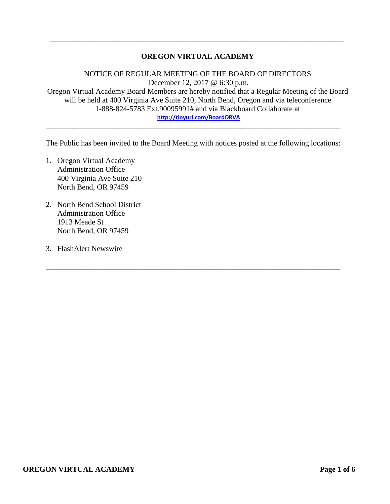# **OREGON VIRTUAL ACADEMY**

\_\_\_\_\_\_\_\_\_\_\_\_\_\_\_\_\_\_\_\_\_\_\_\_\_\_\_\_\_\_\_\_\_\_\_\_\_\_\_\_\_\_\_\_\_\_\_\_\_\_\_\_\_\_\_\_\_\_\_\_\_\_\_\_\_\_\_\_\_\_\_\_\_\_\_\_\_

NOTICE OF REGULAR MEETING OF THE BOARD OF DIRECTORS December 12, 2017 @ 6:30 p.m. Oregon Virtual Academy Board Members are hereby notified that a Regular Meeting of the Board will be held at 400 Virginia Ave Suite 210, North Bend, Oregon and via teleconference 1-888-824-5783 Ext.90095991# and via Blackboard Collaborate at **<http://tinyurl.com/BoardORVA>**

The Public has been invited to the Board Meeting with notices posted at the following locations:

\_\_\_\_\_\_\_\_\_\_\_\_\_\_\_\_\_\_\_\_\_\_\_\_\_\_\_\_\_\_\_\_\_\_\_\_\_\_\_\_\_\_\_\_\_\_\_\_\_\_\_\_\_\_\_\_\_\_\_\_\_\_\_\_\_\_\_\_\_\_\_\_\_\_\_\_\_

\_\_\_\_\_\_\_\_\_\_\_\_\_\_\_\_\_\_\_\_\_\_\_\_\_\_\_\_\_\_\_\_\_\_\_\_\_\_\_\_\_\_\_\_\_\_\_\_\_\_\_\_\_\_\_\_\_\_\_\_\_\_\_\_\_\_\_\_\_\_\_\_\_\_\_\_\_

- 1. Oregon Virtual Academy Administration Office 400 Virginia Ave Suite 210 North Bend, OR 97459
- 2. North Bend School District Administration Office 1913 Meade St North Bend, OR 97459
- 3. FlashAlert Newswire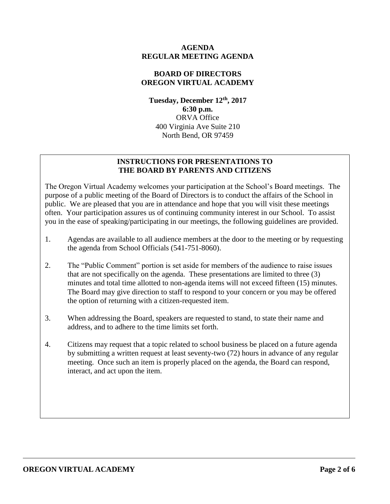### **AGENDA REGULAR MEETING AGENDA**

# **BOARD OF DIRECTORS OREGON VIRTUAL ACADEMY**

**Tuesday, December 12 th , 2017 6:30 p.m.** ORVA Office 400 Virginia Ave Suite 210 North Bend, OR 97459

# **INSTRUCTIONS FOR PRESENTATIONS TO THE BOARD BY PARENTS AND CITIZENS**

The Oregon Virtual Academy welcomes your participation at the School's Board meetings. The purpose of a public meeting of the Board of Directors is to conduct the affairs of the School in public. We are pleased that you are in attendance and hope that you will visit these meetings often. Your participation assures us of continuing community interest in our School. To assist you in the ease of speaking/participating in our meetings, the following guidelines are provided.

- 1. Agendas are available to all audience members at the door to the meeting or by requesting the agenda from School Officials (541-751-8060).
- 2. The "Public Comment" portion is set aside for members of the audience to raise issues that are not specifically on the agenda. These presentations are limited to three (3) minutes and total time allotted to non-agenda items will not exceed fifteen (15) minutes. The Board may give direction to staff to respond to your concern or you may be offered the option of returning with a citizen-requested item.
- 3. When addressing the Board, speakers are requested to stand, to state their name and address, and to adhere to the time limits set forth.
- 4. Citizens may request that a topic related to school business be placed on a future agenda by submitting a written request at least seventy-two (72) hours in advance of any regular meeting. Once such an item is properly placed on the agenda, the Board can respond, interact, and act upon the item.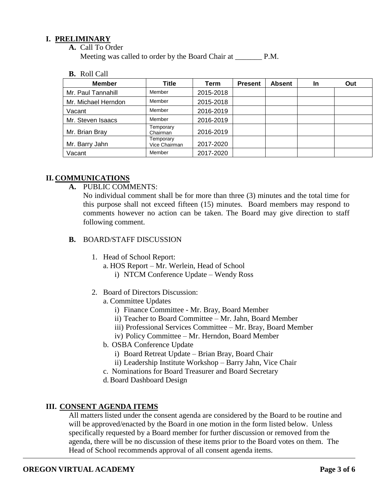### **I. PRELIMINARY**

**A.** Call To Order

Meeting was called to order by the Board Chair at P.M.

**B.** Roll Call

| <b>Member</b>       | Title                      | Term      | <b>Present</b> | <b>Absent</b> | <b>In</b> | Out |
|---------------------|----------------------------|-----------|----------------|---------------|-----------|-----|
| Mr. Paul Tannahill  | Member                     | 2015-2018 |                |               |           |     |
| Mr. Michael Herndon | Member                     | 2015-2018 |                |               |           |     |
| Vacant              | Member                     | 2016-2019 |                |               |           |     |
| Mr. Steven Isaacs   | Member                     | 2016-2019 |                |               |           |     |
| Mr. Brian Bray      | Temporary<br>Chairman      | 2016-2019 |                |               |           |     |
| Mr. Barry Jahn      | Temporary<br>Vice Chairman | 2017-2020 |                |               |           |     |
| Vacant              | Member                     | 2017-2020 |                |               |           |     |

# **II. COMMUNICATIONS**

**A.** PUBLIC COMMENTS:

No individual comment shall be for more than three (3) minutes and the total time for this purpose shall not exceed fifteen (15) minutes. Board members may respond to comments however no action can be taken. The Board may give direction to staff following comment.

### **B.** BOARD/STAFF DISCUSSION

- 1. Head of School Report:
	- a. HOS Report Mr. Werlein, Head of School
		- i) NTCM Conference Update Wendy Ross
- 2. Board of Directors Discussion:
	- a. Committee Updates
		- i) Finance Committee Mr. Bray, Board Member
		- ii) Teacher to Board Committee Mr. Jahn, Board Member
		- iii) Professional Services Committee Mr. Bray, Board Member
		- iv) Policy Committee Mr. Herndon, Board Member
	- b. OSBA Conference Update
		- i) Board Retreat Update Brian Bray, Board Chair
		- ii) Leadership Institute Workshop Barry Jahn, Vice Chair
	- c. Nominations for Board Treasurer and Board Secretary
	- d.Board Dashboard Design

# **III. CONSENT AGENDA ITEMS**

All matters listed under the consent agenda are considered by the Board to be routine and will be approved/enacted by the Board in one motion in the form listed below. Unless specifically requested by a Board member for further discussion or removed from the agenda, there will be no discussion of these items prior to the Board votes on them. The Head of School recommends approval of all consent agenda items.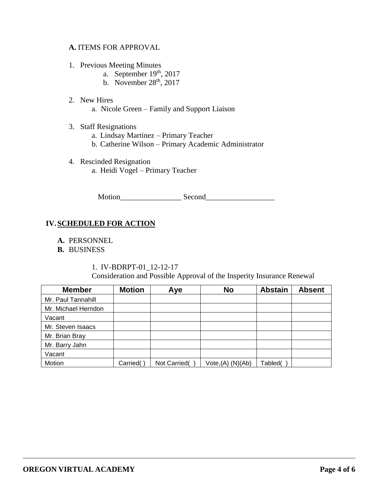### **A.** ITEMS FOR APPROVAL

- 1. Previous Meeting Minutes
	- a. September  $19<sup>th</sup>$ , 2017
	- b. November  $28<sup>th</sup>$ , 2017
- 2. New Hires
	- a. Nicole Green Family and Support Liaison
- 3. Staff Resignations
	- a. Lindsay Martinez Primary Teacher
	- b. Catherine Wilson Primary Academic Administrator
- 4. Rescinded Resignation a. Heidi Vogel – Primary Teacher

Motion\_\_\_\_\_\_\_\_\_\_\_\_\_\_\_\_ Second\_\_\_\_\_\_\_\_\_\_\_\_\_\_\_\_\_\_

# **IV.SCHEDULED FOR ACTION**

- **A.** PERSONNEL
- **B.** BUSINESS

1. IV-BDRPT-01\_12-12-17 Consideration and Possible Approval of the Insperity Insurance Renewal

| <b>Member</b>       | <b>Motion</b> | Aye          | <b>No</b>            | <b>Abstain</b> | <b>Absent</b> |
|---------------------|---------------|--------------|----------------------|----------------|---------------|
| Mr. Paul Tannahill  |               |              |                      |                |               |
| Mr. Michael Herndon |               |              |                      |                |               |
| Vacant              |               |              |                      |                |               |
| Mr. Steven Isaacs   |               |              |                      |                |               |
| Mr. Brian Bray      |               |              |                      |                |               |
| Mr. Barry Jahn      |               |              |                      |                |               |
| Vacant              |               |              |                      |                |               |
| Motion              | Carried(      | Not Carried( | $Vote,(A)$ $(N)(Ab)$ | Tabled(        |               |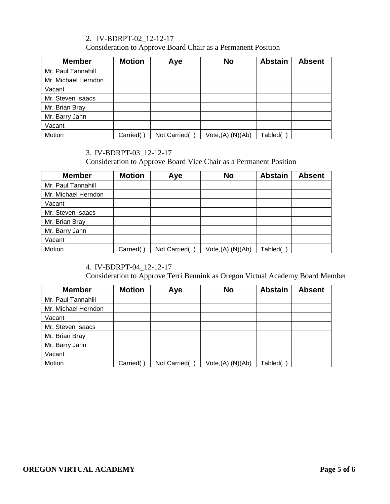# 2. IV-BDRPT-02\_12-12-17

Consideration to Approve Board Chair as a Permanent Position

| <b>Member</b>       | <b>Motion</b> | Aye          | <b>No</b>         | <b>Abstain</b> | <b>Absent</b> |
|---------------------|---------------|--------------|-------------------|----------------|---------------|
| Mr. Paul Tannahill  |               |              |                   |                |               |
| Mr. Michael Herndon |               |              |                   |                |               |
| Vacant              |               |              |                   |                |               |
| Mr. Steven Isaacs   |               |              |                   |                |               |
| Mr. Brian Bray      |               |              |                   |                |               |
| Mr. Barry Jahn      |               |              |                   |                |               |
| Vacant              |               |              |                   |                |               |
| Motion              | Carried(      | Not Carried( | Vote, (A) (N)(Ab) | Tabled(        |               |

# 3. IV-BDRPT-03\_12-12-17

Consideration to Approve Board Vice Chair as a Permanent Position

| <b>Member</b>       | <b>Motion</b> | Aye          | <b>No</b>            | <b>Abstain</b> | <b>Absent</b> |
|---------------------|---------------|--------------|----------------------|----------------|---------------|
| Mr. Paul Tannahill  |               |              |                      |                |               |
| Mr. Michael Herndon |               |              |                      |                |               |
| Vacant              |               |              |                      |                |               |
| Mr. Steven Isaacs   |               |              |                      |                |               |
| Mr. Brian Bray      |               |              |                      |                |               |
| Mr. Barry Jahn      |               |              |                      |                |               |
| Vacant              |               |              |                      |                |               |
| Motion              | Carried(      | Not Carried( | $Vote,(A)$ $(N)(Ab)$ | Tabled(        |               |

# 4. IV-BDRPT-04\_12-12-17

Consideration to Approve Terri Bennink as Oregon Virtual Academy Board Member

| <b>Member</b>       | <b>Motion</b> | Aye          | <b>No</b>         | <b>Abstain</b> | <b>Absent</b> |
|---------------------|---------------|--------------|-------------------|----------------|---------------|
| Mr. Paul Tannahill  |               |              |                   |                |               |
| Mr. Michael Herndon |               |              |                   |                |               |
| Vacant              |               |              |                   |                |               |
| Mr. Steven Isaacs   |               |              |                   |                |               |
| Mr. Brian Bray      |               |              |                   |                |               |
| Mr. Barry Jahn      |               |              |                   |                |               |
| Vacant              |               |              |                   |                |               |
| Motion              | Carried(      | Not Carried( | Vote, (A) (N)(Ab) | Tabled(        |               |